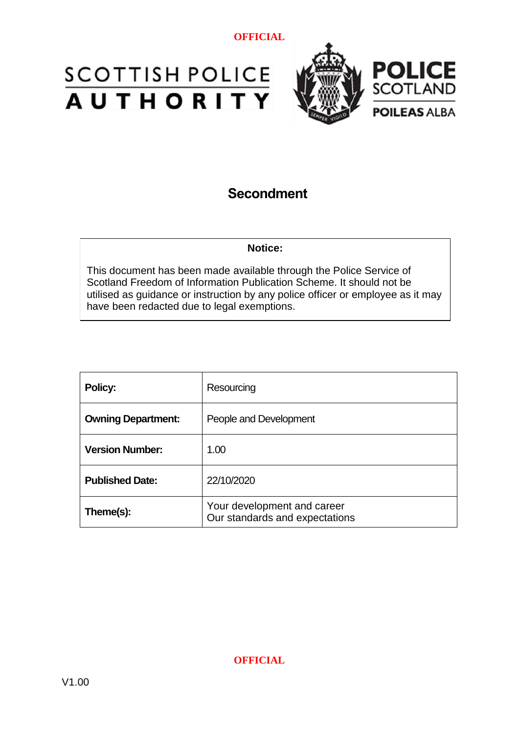



# **Secondment**

#### **Notice:**

This document has been made available through the Police Service of Scotland Freedom of Information Publication Scheme. It should not be utilised as guidance or instruction by any police officer or employee as it may have been redacted due to legal exemptions.

| Policy:                   | Resourcing                                                    |
|---------------------------|---------------------------------------------------------------|
| <b>Owning Department:</b> | People and Development                                        |
| <b>Version Number:</b>    | 1.00                                                          |
| <b>Published Date:</b>    | 22/10/2020                                                    |
| Theme(s):                 | Your development and career<br>Our standards and expectations |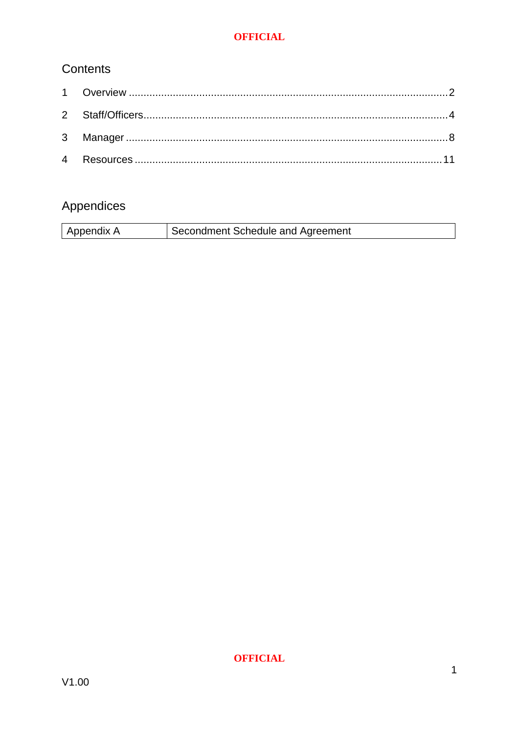# Contents

# Appendices

| Appendix A | Secondment Schedule and Agreement |
|------------|-----------------------------------|
|            |                                   |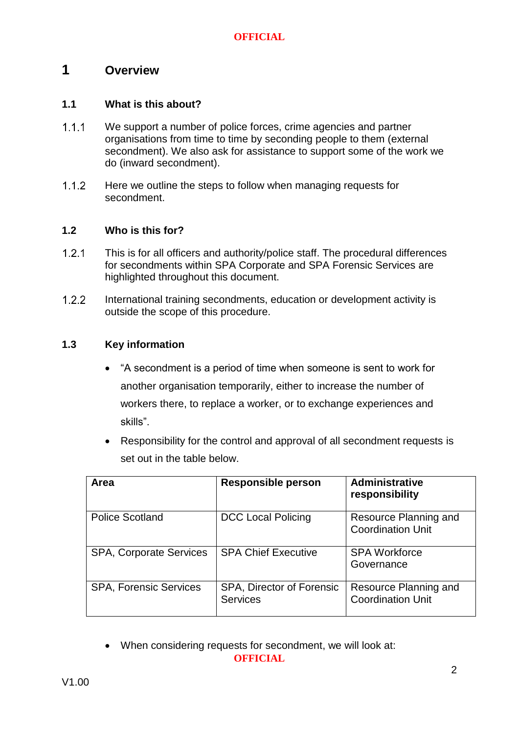# <span id="page-2-0"></span>**1 Overview**

# **1.1 What is this about?**

- $1.1.1$ We support a number of police forces, crime agencies and partner organisations from time to time by seconding people to them (external secondment). We also ask for assistance to support some of the work we do (inward secondment).
- $1.1.2$ Here we outline the steps to follow when managing requests for secondment.

### **1.2 Who is this for?**

- $1.2.1$ This is for all officers and authority/police staff. The procedural differences for secondments within SPA Corporate and SPA Forensic Services are highlighted throughout this document.
- $1.2.2$ International training secondments, education or development activity is outside the scope of this procedure.

# **1.3 Key information**

- "A secondment is a period of time when someone is sent to work for another organisation temporarily, either to increase the number of workers there, to replace a worker, or to exchange experiences and skills".
- Responsibility for the control and approval of all secondment requests is set out in the table below.

| <b>Area</b>                    | <b>Responsible person</b>                    | <b>Administrative</b><br>responsibility           |
|--------------------------------|----------------------------------------------|---------------------------------------------------|
| <b>Police Scotland</b>         | <b>DCC Local Policing</b>                    | Resource Planning and<br><b>Coordination Unit</b> |
| <b>SPA, Corporate Services</b> | <b>SPA Chief Executive</b>                   | <b>SPA Workforce</b><br>Governance                |
| <b>SPA, Forensic Services</b>  | SPA, Director of Forensic<br><b>Services</b> | Resource Planning and<br><b>Coordination Unit</b> |

**OFFICIAL** When considering requests for secondment, we will look at: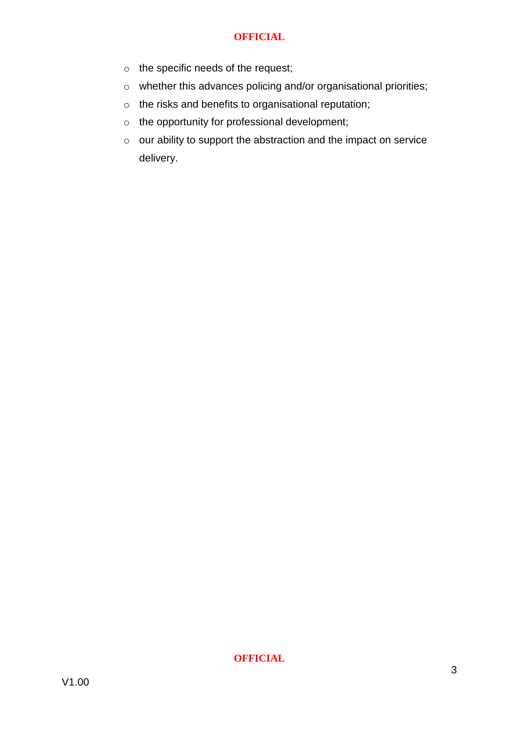- o the specific needs of the request;
- o whether this advances policing and/or organisational priorities;
- o the risks and benefits to organisational reputation;
- o the opportunity for professional development;
- o our ability to support the abstraction and the impact on service delivery.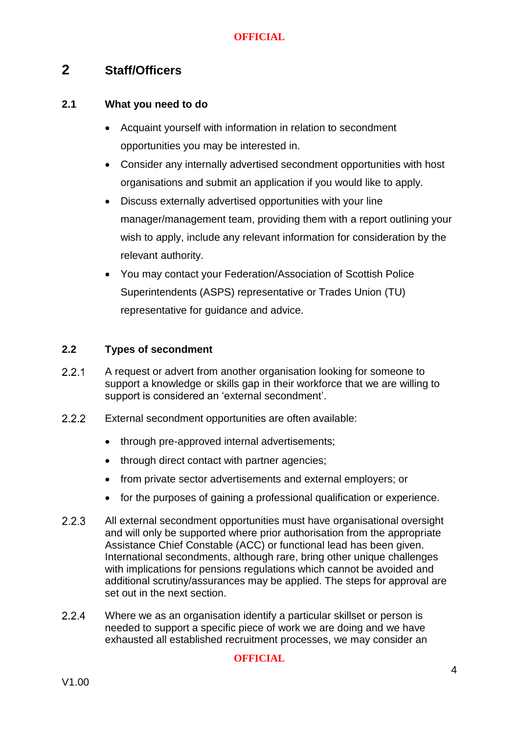# <span id="page-4-0"></span>**2 Staff/Officers**

### **2.1 What you need to do**

- Acquaint yourself with information in relation to secondment opportunities you may be interested in.
- Consider any internally advertised secondment opportunities with host organisations and submit an application if you would like to apply.
- Discuss externally advertised opportunities with your line manager/management team, providing them with a report outlining your wish to apply, include any relevant information for consideration by the relevant authority.
- You may contact your Federation/Association of Scottish Police Superintendents (ASPS) representative or Trades Union (TU) representative for guidance and advice.

# **2.2 Types of secondment**

- $2.2.1$ A request or advert from another organisation looking for someone to support a knowledge or skills gap in their workforce that we are willing to support is considered an 'external secondment'.
- $2.2.2$ External secondment opportunities are often available:
	- through pre-approved internal advertisements;
	- through direct contact with partner agencies;
	- from private sector advertisements and external employers; or
	- for the purposes of gaining a professional qualification or experience.
- $2.2.3$ All external secondment opportunities must have organisational oversight and will only be supported where prior authorisation from the appropriate Assistance Chief Constable (ACC) or functional lead has been given. International secondments, although rare, bring other unique challenges with implications for pensions regulations which cannot be avoided and additional scrutiny/assurances may be applied. The steps for approval are set out in the next section.
- $2.2.4$ Where we as an organisation identify a particular skillset or person is needed to support a specific piece of work we are doing and we have exhausted all established recruitment processes, we may consider an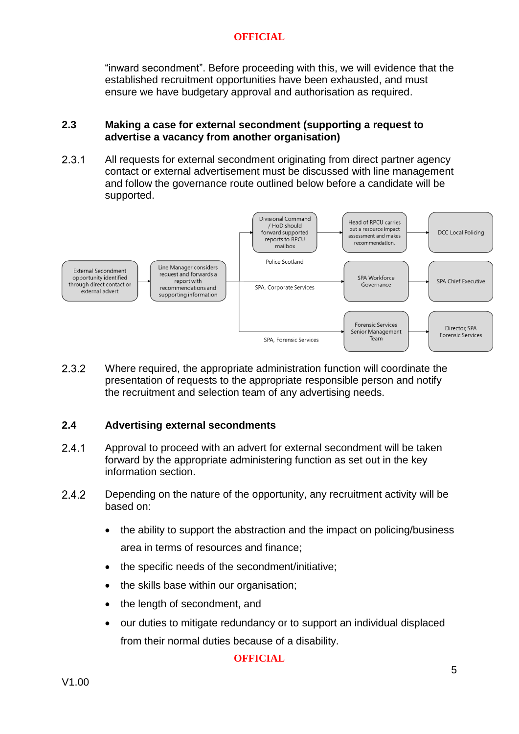"inward secondment". Before proceeding with this, we will evidence that the established recruitment opportunities have been exhausted, and must ensure we have budgetary approval and authorisation as required.

### **2.3 Making a case for external secondment (supporting a request to advertise a vacancy from another organisation)**

2.3.1 All requests for external secondment originating from direct partner agency contact or external advertisement must be discussed with line management and follow the governance route outlined below before a candidate will be supported.



 $2.3.2$ Where required, the appropriate administration function will coordinate the presentation of requests to the appropriate responsible person and notify the recruitment and selection team of any advertising needs.

# **2.4 Advertising external secondments**

- $2.4.1$ Approval to proceed with an advert for external secondment will be taken forward by the appropriate administering function as set out in the key information section.
- $2.4.2$ Depending on the nature of the opportunity, any recruitment activity will be based on:
	- the ability to support the abstraction and the impact on policing/business area in terms of resources and finance;
	- the specific needs of the secondment/initiative;
	- the skills base within our organisation;
	- the length of secondment, and
	- our duties to mitigate redundancy or to support an individual displaced from their normal duties because of a disability.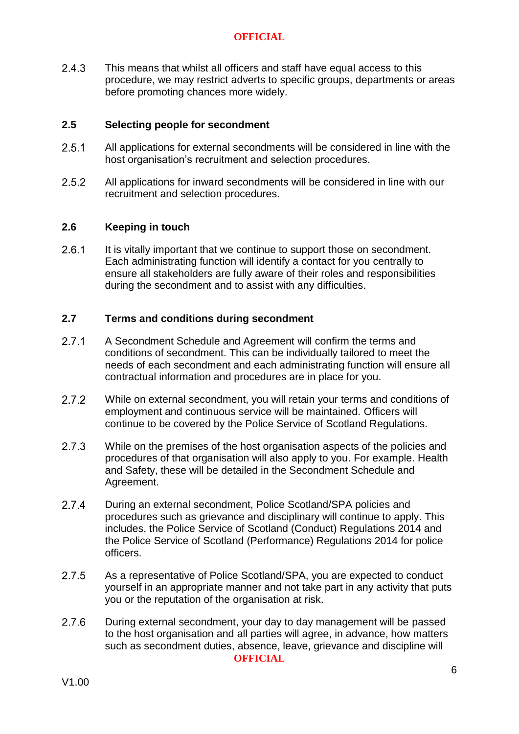$2.4.3$ This means that whilst all officers and staff have equal access to this procedure, we may restrict adverts to specific groups, departments or areas before promoting chances more widely.

# **2.5 Selecting people for secondment**

- $2.5.1$ All applications for external secondments will be considered in line with the host organisation's recruitment and selection procedures.
- $2.5.2$ All applications for inward secondments will be considered in line with our recruitment and selection procedures.

### **2.6 Keeping in touch**

 $2.6.1$ It is vitally important that we continue to support those on secondment. Each administrating function will identify a contact for you centrally to ensure all stakeholders are fully aware of their roles and responsibilities during the secondment and to assist with any difficulties.

### **2.7 Terms and conditions during secondment**

- $2.7.1$ A Secondment Schedule and Agreement will confirm the terms and conditions of secondment. This can be individually tailored to meet the needs of each secondment and each administrating function will ensure all contractual information and procedures are in place for you.
- $2.7.2$ While on external secondment, you will retain your terms and conditions of employment and continuous service will be maintained. Officers will continue to be covered by the Police Service of Scotland Regulations.
- $2.7.3$ While on the premises of the host organisation aspects of the policies and procedures of that organisation will also apply to you. For example. Health and Safety, these will be detailed in the Secondment Schedule and Agreement.
- $2.7.4$ During an external secondment, Police Scotland/SPA policies and procedures such as grievance and disciplinary will continue to apply. This includes, the Police Service of Scotland (Conduct) Regulations 2014 and the Police Service of Scotland (Performance) Regulations 2014 for police officers.
- $2.7.5$ As a representative of Police Scotland/SPA, you are expected to conduct yourself in an appropriate manner and not take part in any activity that puts you or the reputation of the organisation at risk.
- $2.7.6$ During external secondment, your day to day management will be passed to the host organisation and all parties will agree, in advance, how matters such as secondment duties, absence, leave, grievance and discipline will **OFFICIAL**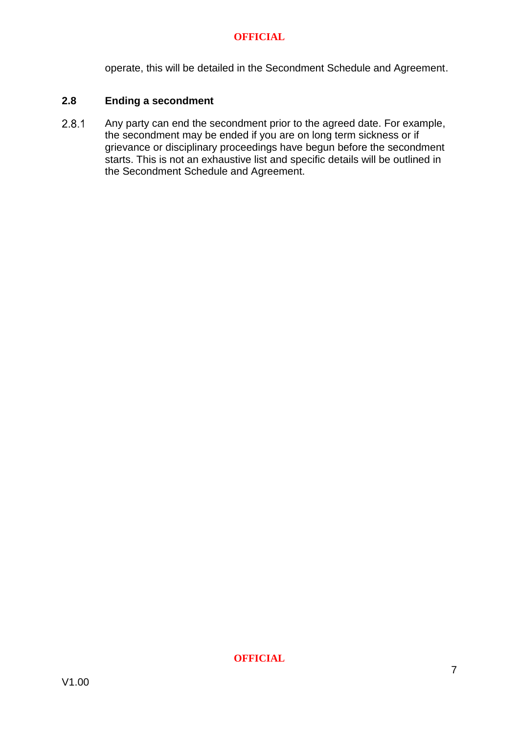operate, this will be detailed in the Secondment Schedule and Agreement.

### **2.8 Ending a secondment**

 $2.8.1$ Any party can end the secondment prior to the agreed date. For example, the secondment may be ended if you are on long term sickness or if grievance or disciplinary proceedings have begun before the secondment  $\overrightarrow{S}$  starts. This is not an exhaustive list and specific details will be outlined in the Secondment Schedule and Agreement.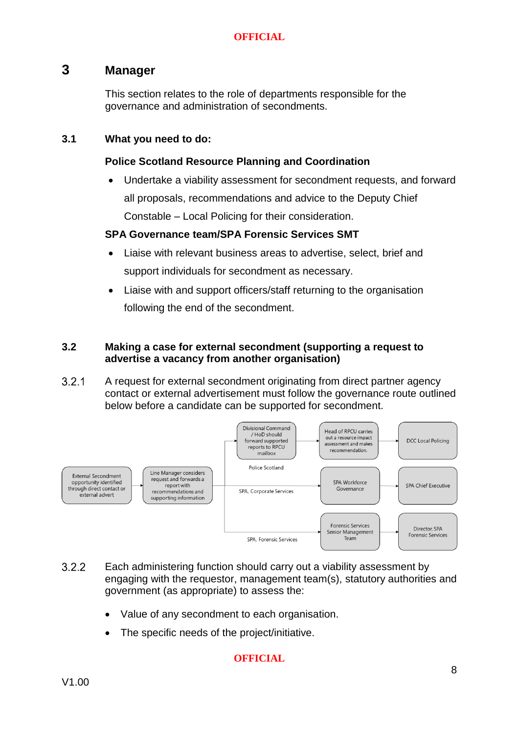# <span id="page-8-0"></span>**3 Manager**

This section relates to the role of departments responsible for the governance and administration of secondments.

# **3.1 What you need to do:**

# **Police Scotland Resource Planning and Coordination**

 Undertake a viability assessment for secondment requests, and forward all proposals, recommendations and advice to the Deputy Chief Constable – Local Policing for their consideration.

# **SPA Governance team/SPA Forensic Services SMT**

- Liaise with relevant business areas to advertise, select, brief and support individuals for secondment as necessary.
- Liaise with and support officers/staff returning to the organisation following the end of the secondment.

# **3.2 Making a case for external secondment (supporting a request to advertise a vacancy from another organisation)**

 $3.2.1$ A request for external secondment originating from direct partner agency contact or external advertisement must follow the governance route outlined below before a candidate can be supported for secondment.



- $3.2.2$ Each administering function should carry out a viability assessment by engaging with the requestor, management team(s), statutory authorities and government (as appropriate) to assess the:
	- Value of any secondment to each organisation.
	- The specific needs of the project/initiative.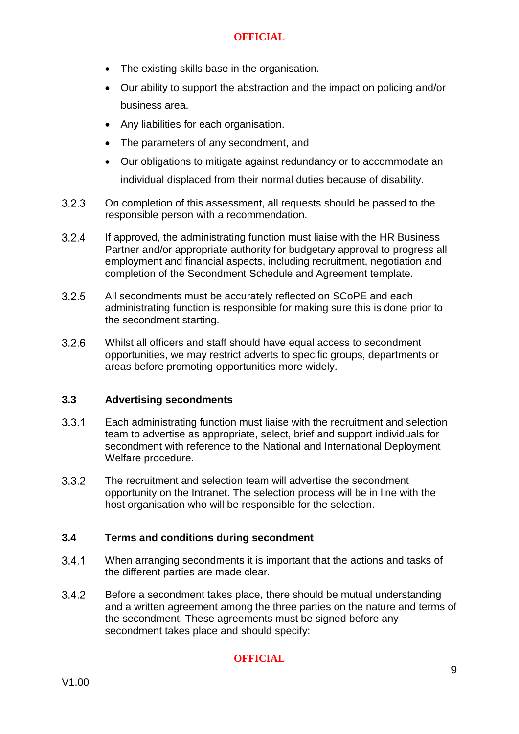- The existing skills base in the organisation.
- Our ability to support the abstraction and the impact on policing and/or business area.
- Any liabilities for each organisation.
- The parameters of any secondment, and
- Our obligations to mitigate against redundancy or to accommodate an individual displaced from their normal duties because of disability.
- $3.2.3$ On completion of this assessment, all requests should be passed to the responsible person with a recommendation.
- $3.24$ If approved, the administrating function must liaise with the HR Business Partner and/or appropriate authority for budgetary approval to progress all employment and financial aspects, including recruitment, negotiation and completion of the Secondment Schedule and Agreement template.
- $3.2.5$ All secondments must be accurately reflected on SCoPE and each administrating function is responsible for making sure this is done prior to the secondment starting.
- $3.2.6$ Whilst all officers and staff should have equal access to secondment opportunities, we may restrict adverts to specific groups, departments or areas before promoting opportunities more widely.

# **3.3 Advertising secondments**

- $3.3.1$ Each administrating function must liaise with the recruitment and selection team to advertise as appropriate, select, brief and support individuals for secondment with reference to the National and International Deployment Welfare procedure.
- $3.3.2$ The recruitment and selection team will advertise the secondment opportunity on the Intranet. The selection process will be in line with the host organisation who will be responsible for the selection.

# **3.4 Terms and conditions during secondment**

- 341 When arranging secondments it is important that the actions and tasks of the different parties are made clear.
- $3.4.2$ Before a secondment takes place, there should be mutual understanding and a written agreement among the three parties on the nature and terms of the secondment. These agreements must be signed before any secondment takes place and should specify: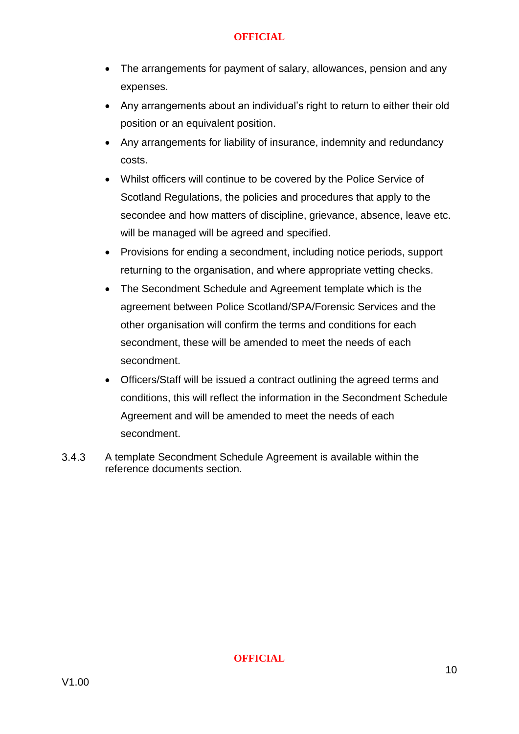- The arrangements for payment of salary, allowances, pension and any expenses.
- Any arrangements about an individual's right to return to either their old position or an equivalent position.
- Any arrangements for liability of insurance, indemnity and redundancy costs.
- Whilst officers will continue to be covered by the Police Service of Scotland Regulations, the policies and procedures that apply to the secondee and how matters of discipline, grievance, absence, leave etc. will be managed will be agreed and specified.
- Provisions for ending a secondment, including notice periods, support returning to the organisation, and where appropriate vetting checks.
- The Secondment Schedule and Agreement template which is the agreement between Police Scotland/SPA/Forensic Services and the other organisation will confirm the terms and conditions for each secondment, these will be amended to meet the needs of each secondment.
- Officers/Staff will be issued a contract outlining the agreed terms and conditions, this will reflect the information in the Secondment Schedule Agreement and will be amended to meet the needs of each secondment.
- $3.4.3$ A template Secondment Schedule Agreement is available within the reference documents section.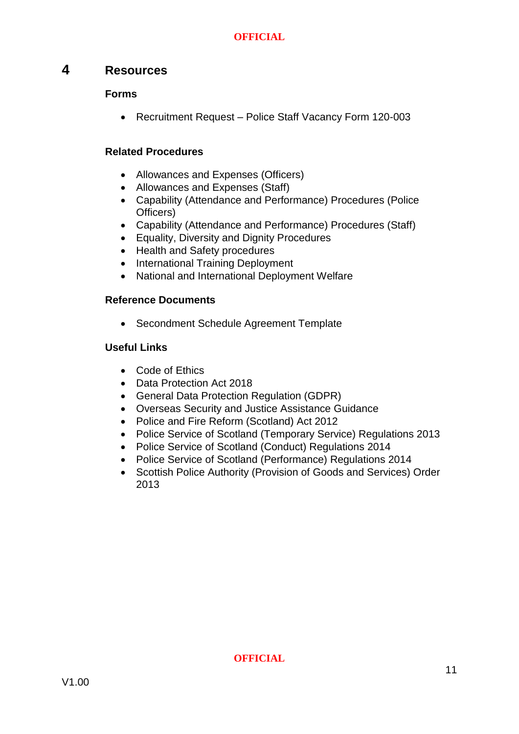# <span id="page-11-0"></span>**4 Resources**

# **Forms**

• [Recruitment](https://spi.spnet.local/commonservices/people-and-development/policy-hub/Pages/Allowances-and-Expenses-(Police-Officers).aspx) Request – Police Staff Vacancy Form 120-003

# **Related Procedures**

- [Allowances and Expenses \(Officers\)](https://spi.spnet.local/commonservices/people-and-development/policy-hub/Pages/Allowances-and-Expenses-(Police-Officers).aspx)
- [Allowances and Expenses \(Staff\)](https://spi.spnet.local/commonservices/people-and-development/policy-hub/Pages/Allowances-and-Expenses-(Staff).aspx)
- [Capability \(Attendance and Performance\) Procedures \(Police](https://spi.spnet.local/commonservices/people-and-development/policy-hub/Pages/Capability-(Attendance-and-Performance)-(Officer).aspx)  [Officers\)](https://spi.spnet.local/commonservices/people-and-development/policy-hub/Pages/Capability-(Attendance-and-Performance)-(Officer).aspx)
- [Capability \(Attendance and Performance\) Procedures \(Staff\)](https://spi.spnet.local/commonservices/people-and-development/policy-hub/Pages/Capability-(Attendance-and-Performance)-(Staff).aspx)
- [Equality, Diversity and Dignity Procedures](https://spi.spnet.local/commonservices/people-and-development/policy-hub/Pages/Equality,-Diversity-and-Dignity.aspx)
- [Health and Safety procedures](https://spi.spnet.local/policescotland/guidance/Standard%20Operating%20Procedures/Health%20and%20Safety%20SOP.pdf)
- [International Training Deployment](https://spi.spnet.local/commonservices/people-and-development/policy-hub/Pages/International-Training-Deployment.aspx)
- [National and International Deployment Welfare](https://spi.spnet.local/commonservices/people-and-development/policy-hub/Pages/National--International-Deployment-Welfare.aspx)

# **Reference Documents**

Secondment Schedule Agreement Template

# **Useful Links**

- [Code of Ethics](https://spi.spnet.local/policescotland/about-us/code-of-ethics-and-values/Pages/Code-of-Ethics-for-Policing.aspx)
- [Data Protection Act 2018](https://www.legislation.gov.uk/ukpga/2018/12/contents/enacted)
- [General Data Protection Regulation \(GDPR\)](https://www.gov.uk/government/publications/guide-to-the-general-data-protection-regulation)
- [Overseas Security and Justice Assistance Guidance](https://www.gov.uk/government/publications/overseas-security-and-justice-assistance-osja-guidance)
- [Police and Fire Reform \(Scotland\) Act 2012](http://www.legislation.gov.uk/asp/2012/8/pdfs/asp_20120008_en.pdf)
- [Police Service of Scotland \(Temporary Service\) Regulations 2013](http://www.legislation.gov.uk/ssi/2013/76/pdfs/ssi_20130076_en.pdf)
- [Police Service of Scotland \(Conduct\) Regulations 2014](https://www.legislation.gov.uk/ssi/2014/68/contents/made)
- [Police Service of Scotland \(Performance\) Regulations 2014](https://www.legislation.gov.uk/ssi/2014/67/made)
- Scottish Police Authority (Provision of Goods and Services) Order [2013](http://www.legislation.gov.uk/ssi/2013/73/pdfs/ssi_20130073_en.pdf)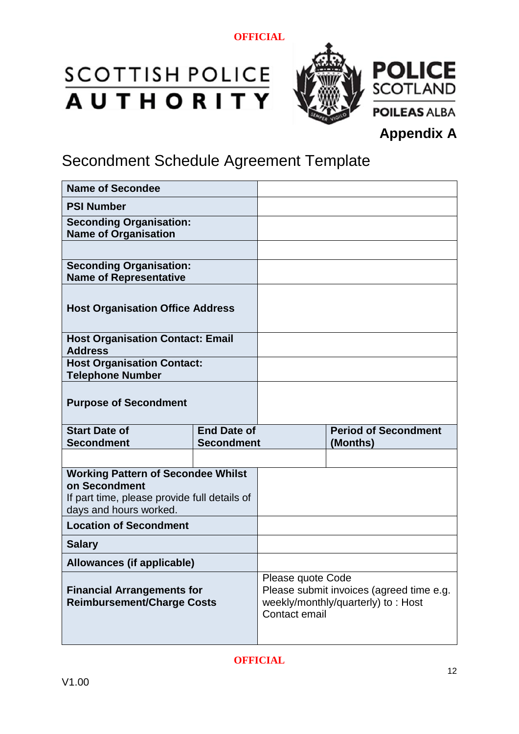# **SCOTTISH POLICE**<br>**AUTHORITY**



# **Appendix A**

# Secondment Schedule Agreement Template

| <b>Name of Secondee</b>                                                                                                              |                    |                             |
|--------------------------------------------------------------------------------------------------------------------------------------|--------------------|-----------------------------|
| <b>PSI Number</b>                                                                                                                    |                    |                             |
| <b>Seconding Organisation:</b><br><b>Name of Organisation</b>                                                                        |                    |                             |
|                                                                                                                                      |                    |                             |
| <b>Seconding Organisation:</b><br><b>Name of Representative</b>                                                                      |                    |                             |
| <b>Host Organisation Office Address</b>                                                                                              |                    |                             |
| <b>Host Organisation Contact: Email</b><br><b>Address</b>                                                                            |                    |                             |
| <b>Host Organisation Contact:</b><br><b>Telephone Number</b>                                                                         |                    |                             |
| <b>Purpose of Secondment</b>                                                                                                         |                    |                             |
|                                                                                                                                      |                    |                             |
| <b>Start Date of</b>                                                                                                                 | <b>End Date of</b> | <b>Period of Secondment</b> |
| <b>Secondment</b>                                                                                                                    | <b>Secondment</b>  | (Months)                    |
| <b>Working Pattern of Secondee Whilst</b><br>on Secondment<br>If part time, please provide full details of<br>days and hours worked. |                    |                             |
| <b>Location of Secondment</b>                                                                                                        |                    |                             |
| <b>Salary</b>                                                                                                                        |                    |                             |
| Allowances (if applicable)                                                                                                           |                    |                             |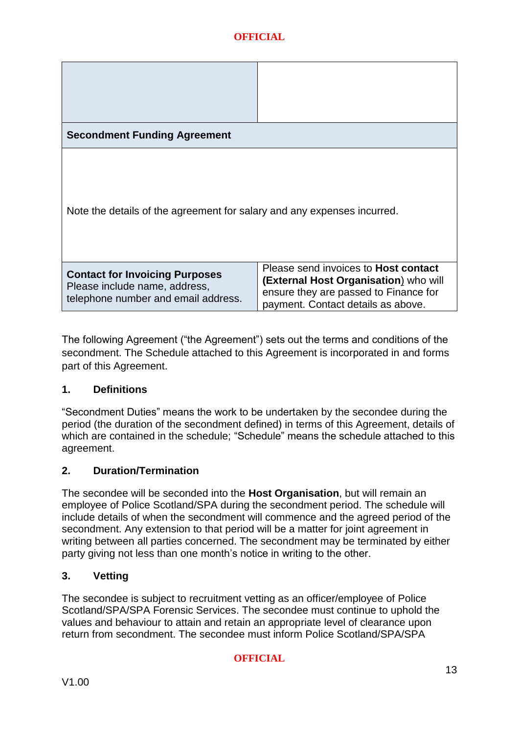| <b>Secondment Funding Agreement</b>                                                                           |                                                                                                                                                                     |
|---------------------------------------------------------------------------------------------------------------|---------------------------------------------------------------------------------------------------------------------------------------------------------------------|
| Note the details of the agreement for salary and any expenses incurred.                                       |                                                                                                                                                                     |
| <b>Contact for Invoicing Purposes</b><br>Please include name, address,<br>telephone number and email address. | Please send invoices to <b>Host contact</b><br>(External Host Organisation) who will<br>ensure they are passed to Finance for<br>payment. Contact details as above. |

The following Agreement ("the Agreement") sets out the terms and conditions of the secondment. The Schedule attached to this Agreement is incorporated in and forms part of this Agreement.

# **1. Definitions**

"Secondment Duties" means the work to be undertaken by the secondee during the period (the duration of the secondment defined) in terms of this Agreement, details of which are contained in the schedule; "Schedule" means the schedule attached to this agreement.

# **2. Duration/Termination**

The secondee will be seconded into the **Host Organisation**, but will remain an employee of Police Scotland/SPA during the secondment period. The schedule will include details of when the secondment will commence and the agreed period of the secondment. Any extension to that period will be a matter for joint agreement in writing between all parties concerned. The secondment may be terminated by either party giving not less than one month's notice in writing to the other.

# **3. Vetting**

The secondee is subject to recruitment vetting as an officer/employee of Police Scotland/SPA/SPA Forensic Services. The secondee must continue to uphold the values and behaviour to attain and retain an appropriate level of clearance upon return from secondment. The secondee must inform Police Scotland/SPA/SPA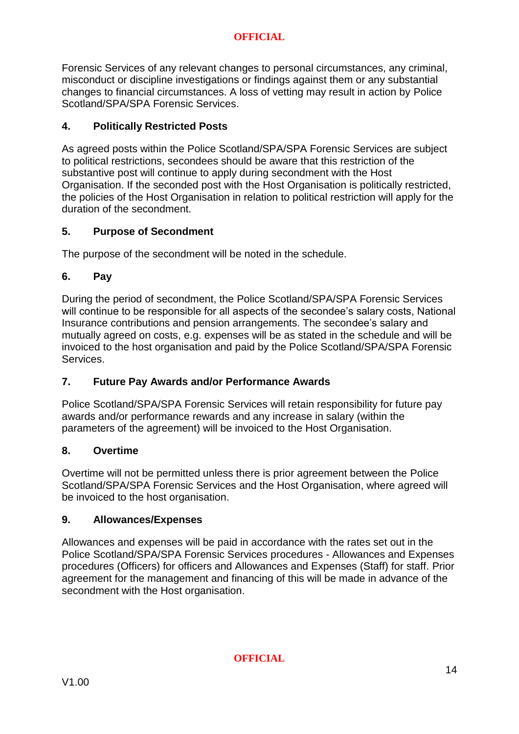Forensic Services of any relevant changes to personal circumstances, any criminal, misconduct or discipline investigations or findings against them or any substantial changes to financial circumstances. A loss of vetting may result in action by Police Scotland/SPA/SPA Forensic Services.

# **4. Politically Restricted Posts**

As agreed posts within the Police Scotland/SPA/SPA Forensic Services are subject to political restrictions, secondees should be aware that this restriction of the substantive post will continue to apply during secondment with the Host Organisation. If the seconded post with the Host Organisation is politically restricted, the policies of the Host Organisation in relation to political restriction will apply for the duration of the secondment.

# **5. Purpose of Secondment**

The purpose of the secondment will be noted in the schedule.

# **6. Pay**

During the period of secondment, the Police Scotland/SPA/SPA Forensic Services will continue to be responsible for all aspects of the secondee's salary costs, National Insurance contributions and pension arrangements. The secondee's salary and mutually agreed on costs, e.g. expenses will be as stated in the schedule and will be invoiced to the host organisation and paid by the Police Scotland/SPA/SPA Forensic Services.

# **7. Future Pay Awards and/or Performance Awards**

Police Scotland/SPA/SPA Forensic Services will retain responsibility for future pay awards and/or performance rewards and any increase in salary (within the parameters of the agreement) will be invoiced to the Host Organisation.

# **8. Overtime**

Overtime will not be permitted unless there is prior agreement between the Police Scotland/SPA/SPA Forensic Services and the Host Organisation, where agreed will be invoiced to the host organisation.

# **9. Allowances/Expenses**

Allowances and expenses will be paid in accordance with the rates set out in the Police Scotland/SPA/SPA Forensic Services procedures - Allowances and Expenses procedures (Officers) for officers and Allowances and Expenses (Staff) for staff. Prior agreement for the management and financing of this will be made in advance of the secondment with the Host organisation.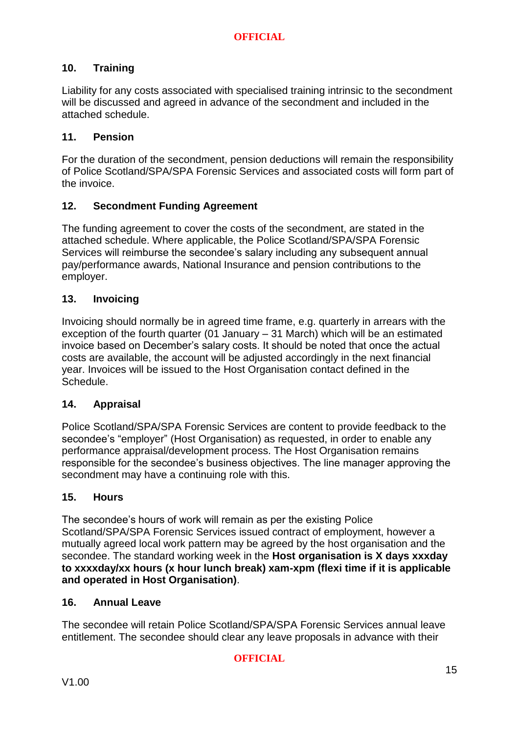# **10. Training**

Liability for any costs associated with specialised training intrinsic to the secondment will be discussed and agreed in advance of the secondment and included in the attached schedule.

# **11. Pension**

For the duration of the secondment, pension deductions will remain the responsibility of Police Scotland/SPA/SPA Forensic Services and associated costs will form part of the invoice.

# **12. Secondment Funding Agreement**

The funding agreement to cover the costs of the secondment, are stated in the attached schedule. Where applicable, the Police Scotland/SPA/SPA Forensic Services will reimburse the secondee's salary including any subsequent annual pay/performance awards, National Insurance and pension contributions to the employer.

# **13. Invoicing**

Invoicing should normally be in agreed time frame, e.g. quarterly in arrears with the exception of the fourth quarter (01 January – 31 March) which will be an estimated invoice based on December's salary costs. It should be noted that once the actual costs are available, the account will be adjusted accordingly in the next financial year. Invoices will be issued to the Host Organisation contact defined in the Schedule.

### **14. Appraisal**

Police Scotland/SPA/SPA Forensic Services are content to provide feedback to the secondee's "employer" (Host Organisation) as requested, in order to enable any performance appraisal/development process. The Host Organisation remains responsible for the secondee's business objectives. The line manager approving the secondment may have a continuing role with this.

### **15. Hours**

The secondee's hours of work will remain as per the existing Police Scotland/SPA/SPA Forensic Services issued contract of employment, however a mutually agreed local work pattern may be agreed by the host organisation and the secondee. The standard working week in the **Host organisation is X days xxxday to xxxxday/xx hours (x hour lunch break) xam-xpm (flexi time if it is applicable and operated in Host Organisation)**.

### **16. Annual Leave**

The secondee will retain Police Scotland/SPA/SPA Forensic Services annual leave entitlement. The secondee should clear any leave proposals in advance with their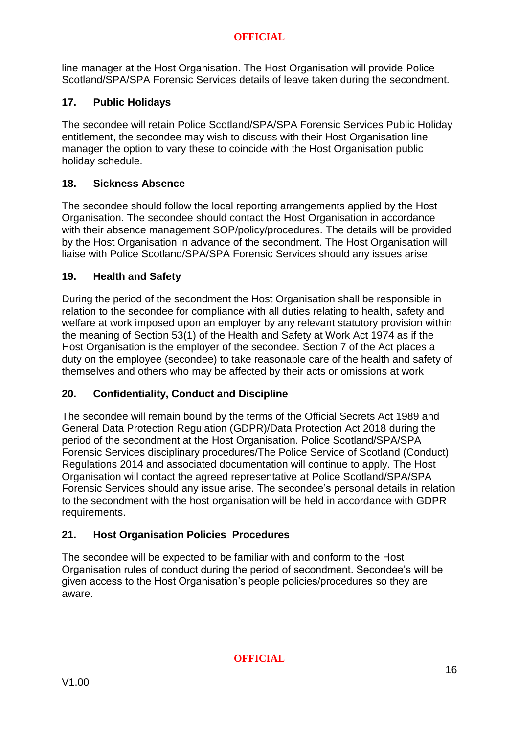line manager at the Host Organisation. The Host Organisation will provide Police Scotland/SPA/SPA Forensic Services details of leave taken during the secondment.

# **17. Public Holidays**

The secondee will retain Police Scotland/SPA/SPA Forensic Services Public Holiday entitlement, the secondee may wish to discuss with their Host Organisation line manager the option to vary these to coincide with the Host Organisation public holiday schedule.

# **18. Sickness Absence**

The secondee should follow the local reporting arrangements applied by the Host Organisation. The secondee should contact the Host Organisation in accordance with their absence management SOP/policy/procedures. The details will be provided by the Host Organisation in advance of the secondment. The Host Organisation will liaise with Police Scotland/SPA/SPA Forensic Services should any issues arise.

# **19. Health and Safety**

During the period of the secondment the Host Organisation shall be responsible in relation to the secondee for compliance with all duties relating to health, safety and welfare at work imposed upon an employer by any relevant statutory provision within the meaning of Section 53(1) of the Health and Safety at Work Act 1974 as if the Host Organisation is the employer of the secondee. Section 7 of the Act places a duty on the employee (secondee) to take reasonable care of the health and safety of themselves and others who may be affected by their acts or omissions at work

# **20. Confidentiality, Conduct and Discipline**

The secondee will remain bound by the terms of the Official Secrets Act 1989 and General Data Protection Regulation (GDPR)/Data Protection Act 2018 during the period of the secondment at the Host Organisation. Police Scotland/SPA/SPA Forensic Services disciplinary procedures/The Police Service of Scotland (Conduct) Regulations 2014 and associated documentation will continue to apply. The Host Organisation will contact the agreed representative at Police Scotland/SPA/SPA Forensic Services should any issue arise. The secondee's personal details in relation to the secondment with the host organisation will be held in accordance with GDPR requirements.

# **21. Host Organisation Policies Procedures**

The secondee will be expected to be familiar with and conform to the Host Organisation rules of conduct during the period of secondment. Secondee's will be given access to the Host Organisation's people policies/procedures so they are aware.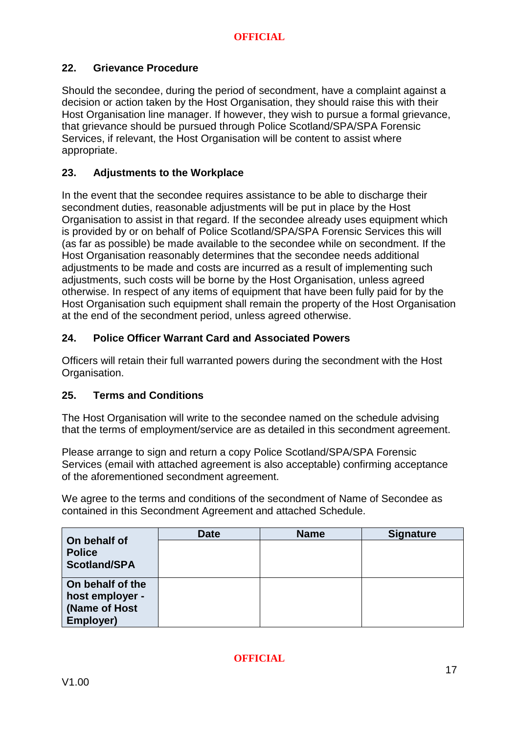# **22. Grievance Procedure**

Should the secondee, during the period of secondment, have a complaint against a decision or action taken by the Host Organisation, they should raise this with their Host Organisation line manager. If however, they wish to pursue a formal grievance, that grievance should be pursued through Police Scotland/SPA/SPA Forensic Services, if relevant, the Host Organisation will be content to assist where appropriate.

# **23. Adjustments to the Workplace**

In the event that the secondee requires assistance to be able to discharge their secondment duties, reasonable adjustments will be put in place by the Host Organisation to assist in that regard. If the secondee already uses equipment which is provided by or on behalf of Police Scotland/SPA/SPA Forensic Services this will (as far as possible) be made available to the secondee while on secondment. If the Host Organisation reasonably determines that the secondee needs additional adjustments to be made and costs are incurred as a result of implementing such adjustments, such costs will be borne by the Host Organisation, unless agreed otherwise. In respect of any items of equipment that have been fully paid for by the Host Organisation such equipment shall remain the property of the Host Organisation at the end of the secondment period, unless agreed otherwise.

# **24. Police Officer Warrant Card and Associated Powers**

Officers will retain their full warranted powers during the secondment with the Host Organisation.

# **25. Terms and Conditions**

The Host Organisation will write to the secondee named on the schedule advising that the terms of employment/service are as detailed in this secondment agreement.

Please arrange to sign and return a copy Police Scotland/SPA/SPA Forensic Services (email with attached agreement is also acceptable) confirming acceptance of the aforementioned secondment agreement.

We agree to the terms and conditions of the secondment of Name of Secondee as contained in this Secondment Agreement and attached Schedule.

| On behalf of        | <b>Date</b> | <b>Name</b> | <b>Signature</b> |
|---------------------|-------------|-------------|------------------|
| <b>Police</b>       |             |             |                  |
| <b>Scotland/SPA</b> |             |             |                  |
|                     |             |             |                  |
| On behalf of the    |             |             |                  |
| host employer -     |             |             |                  |
| (Name of Host       |             |             |                  |
| Employer)           |             |             |                  |